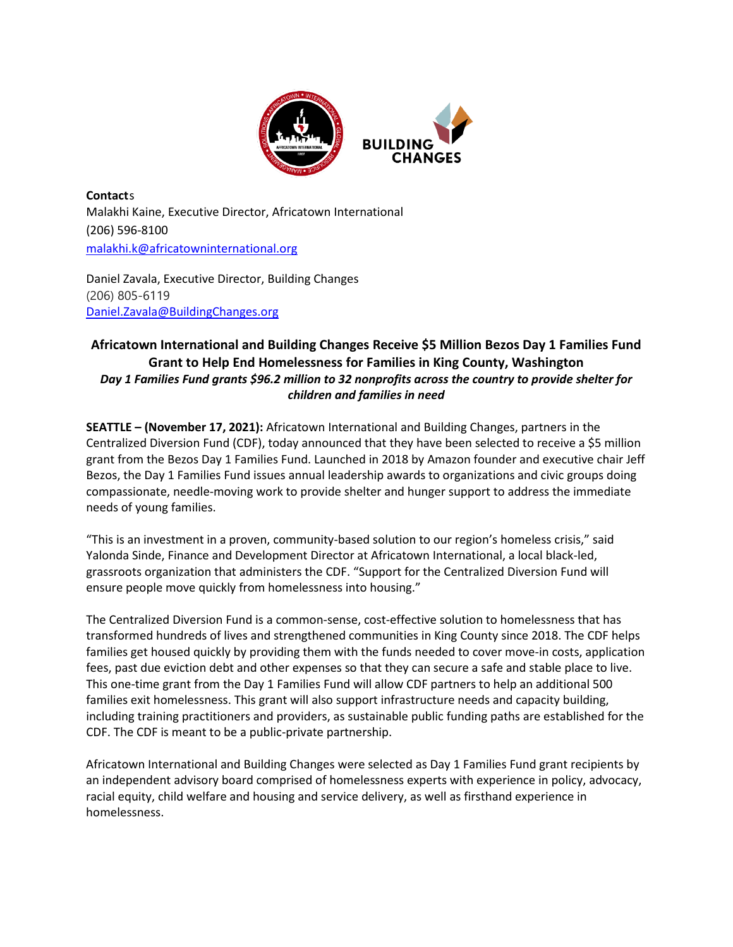

**Contact**s Malakhi Kaine, Executive Director, Africatown International (206) 596-8100 [malakhi.k@africatowninternational.org](mailto:malakhi.k@africatowninternational.org)

Daniel Zavala, Executive Director, Building Changes (206) 805-6119 [Daniel.Zavala@BuildingChanges.org](mailto:Daniel.Zavala@BuildingChanges.org)

## **Africatown International and Building Changes Receive \$5 Million Bezos Day 1 Families Fund Grant to Help End Homelessness for Families in King County, Washington** *Day 1 Families Fund grants \$96.2 million to 32 nonprofits across the country to provide shelter for children and families in need*

**SEATTLE – (November 17, 2021):** Africatown International and Building Changes, partners in the Centralized Diversion Fund (CDF), today announced that they have been selected to receive a \$5 million grant from the Bezos Day 1 Families Fund. Launched in 2018 by Amazon founder and executive chair Jeff Bezos, the Day 1 Families Fund issues annual leadership awards to organizations and civic groups doing compassionate, needle-moving work to provide shelter and hunger support to address the immediate needs of young families.

"This is an investment in a proven, community-based solution to our region's homeless crisis," said Yalonda Sinde, Finance and Development Director at Africatown International, a local black-led, grassroots organization that administers the CDF. "Support for the Centralized Diversion Fund will ensure people move quickly from homelessness into housing."

The Centralized Diversion Fund is a common-sense, cost-effective solution to homelessness that has transformed hundreds of lives and strengthened communities in King County since 2018. The CDF helps families get housed quickly by providing them with the funds needed to cover move-in costs, application fees, past due eviction debt and other expenses so that they can secure a safe and stable place to live. This one-time grant from the Day 1 Families Fund will allow CDF partners to help an additional 500 families exit homelessness. This grant will also support infrastructure needs and capacity building, including training practitioners and providers, as sustainable public funding paths are established for the CDF. The CDF is meant to be a public-private partnership.

Africatown International and Building Changes were selected as Day 1 Families Fund grant recipients by an independent advisory board comprised of homelessness experts with experience in policy, advocacy, racial equity, child welfare and housing and service delivery, as well as firsthand experience in homelessness.